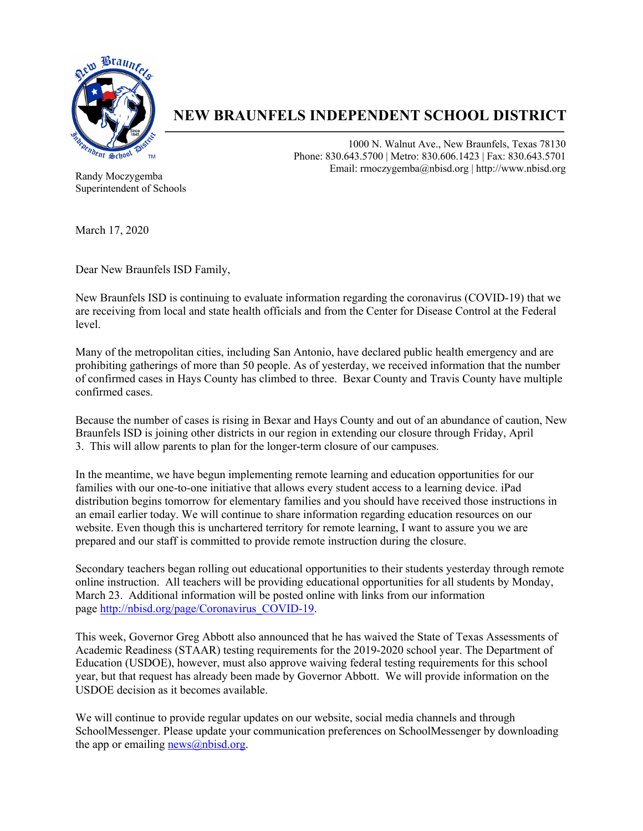

## **NEW BRAUNFELS INDEPENDENT SCHOOL DISTRICT**

1000 N. Walnut Ave., New Braunfels, Texas 78130 Phone: 830.643.5700 | Metro: 830.606.1423 | Fax: 830.643.5701 Email: rmoczygemba@nbisd.org | http://www.nbisd.org

Randy Moczygemba Superintendent of Schools

March 17, 2020

Dear New Braunfels ISD Family,

New Braunfels ISD is continuing to evaluate information regarding the coronavirus (COVID-19) that we are receiving from local and state health officials and from the Center for Disease Control at the Federal level.

Many of the metropolitan cities, including San Antonio, have declared public health emergency and are prohibiting gatherings of more than 50 people. As of yesterday, we received information that the number of confirmed cases in Hays County has climbed to three. Bexar County and Travis County have multiple confirmed cases.

Because the number of cases is rising in Bexar and Hays County and out of an abundance of caution, New Braunfels ISD is joining other districts in our region in extending our closure through Friday, April 3. This will allow parents to plan for the longer-term closure of our campuses.

In the meantime, we have begun implementing remote learning and education opportunities for our families with our one-to-one initiative that allows every student access to a learning device. iPad distribution begins tomorrow for elementary families and you should have received those instructions in an email earlier today. We will continue to share information regarding education resources on our website. Even though this is unchartered territory for remote learning, I want to assure you we are prepared and our staff is committed to provide remote instruction during the closure.

Secondary teachers began rolling out educational opportunities to their students yesterday through remote online instruction. All teachers will be providing educational opportunities for all students by Monday, March 23. Additional information will be posted online with links from our information page http://nbisd.org/page/Coronavirus\_COVID-19.

This week, Governor Greg Abbott also announced that he has waived the State of Texas Assessments of Academic Readiness (STAAR) testing requirements for the 2019-2020 school year. The Department of Education (USDOE), however, must also approve waiving federal testing requirements for this school year, but that request has already been made by Governor Abbott. We will provide information on the USDOE decision as it becomes available.

We will continue to provide regular updates on our website, social media channels and through SchoolMessenger. Please update your communication preferences on SchoolMessenger by downloading the app or emailing  $news@nbisd.org.$